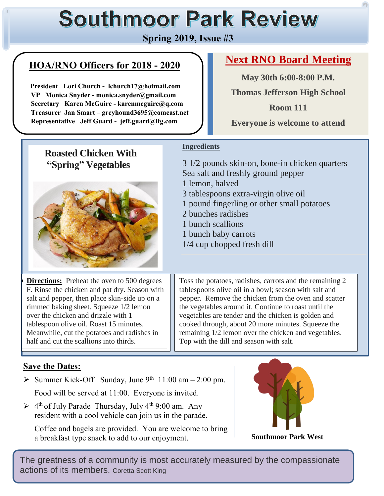# **Southmoor Park Review**

# **Spring 2019, Issue #3**

# **HOA/RNO Officers for 2018 - 2020**

 **President Lori Church - lchurch17@hotmail.com VP Monica Snyder - monica.snyder@gmail.com Secretary Karen McGuire - karenmcguire@q.com Treasurer Jan Smart** – **greyhound3695@comcast.net Representative Jeff Guard - jeff.guard@lfg.com**

# **Next RNO Board Meeting**

**May 30th 6:00-8:00 P.M.**

**Thomas Jefferson High School**

**Room 111 Everyone is welcome to attend**

# **Roasted Chicken With "Spring" Vegetables**



**Directions:** Preheat the oven to 500 degrees F. Rinse the chicken and pat dry. Season with salt and pepper, then place skin-side up on a rimmed baking sheet. Squeeze 1/2 lemon over the chicken and drizzle with 1 tablespoon olive oil. Roast 15 minutes. Meanwhile, cut the potatoes and radishes in half and cut the scallions into thirds.

## **Ingredients**

3 1/2 pounds skin-on, bone-in chicken quarters Sea salt and freshly ground pepper 1 lemon, halved 3 tablespoons extra-virgin olive oil 1 pound fingerling or other small potatoes 2 bunches radishes 1 bunch scallions 1 bunch baby carrots 1/4 cup chopped fresh dill

Toss the potatoes, radishes, carrots and the remaining 2 tablespoons olive oil in a bowl; season with salt and pepper. Remove the chicken from the oven and scatter the vegetables around it. Continue to roast until the vegetables are tender and the chicken is golden and cooked through, about 20 more minutes. Squeeze the remaining 1/2 lemon over the chicken and vegetables. Top with the dill and season with salt.

#### **Save the Dates:**

 $\overline{a}$ 

Summer Kick-Off Sunday, June  $9^{th}$  11:00 am - 2:00 pm. Food will be served at 11:00. Everyone is invited.

 $\geq 4^{\text{th}}$  of July Parade Thursday, July 4<sup>th</sup> 9:00 am. Any resident with a cool vehicle can join us in the parade.

Coffee and bagels are provided. You are welcome to bring a breakfast type snack to add to our enjoyment.



**Southmoor Park West**

The greatness of a community is most accurately measured by the compassionate actions of its members. Coretta Scott King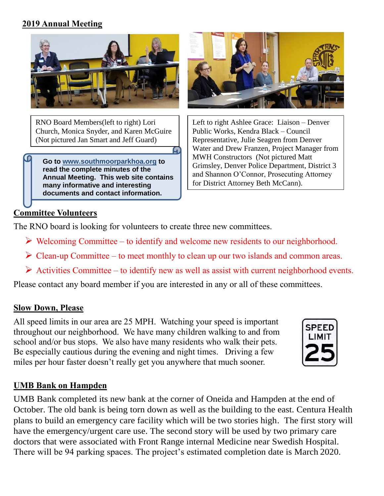#### **2019 Annual Meeting**



RNO Board Members(left to right) Lori Church, Monica Snyder, and Karen McGuire (Not pictured Jan Smart and Jeff Guard)

**Go to www.southmoorparkhoa.org to read the complete minutes of the Annual Meeting. This web site contains many informative and interesting documents and contact information.**



Left to right Ashlee Grace: Liaison – Denver Public Works, Kendra Black – Council Representative, Julie Seagren from Denver Water and Drew Franzen, Project Manager from MWH Constructors (Not pictured Matt Grimsley, Denver Police Department, District 3 and Shannon O'Connor, Prosecuting Attorney for District Attorney Beth McCann).

#### **Committee Volunteers**

The RNO board is looking for volunteers to create three new committees.

- $\triangleright$  Welcoming Committee to identify and welcome new residents to our neighborhood.
- $\triangleright$  Clean-up Committee to meet monthly to clean up our two islands and common areas.
- $\triangleright$  Activities Committee to identify new as well as assist with current neighborhood events.

Please contact any board member if you are interested in any or all of these committees.

#### **Slow Down, Please**

All speed limits in our area are 25 MPH. Watching your speed is important throughout our neighborhood. We have many children walking to and from school and/or bus stops. We also have many residents who walk their pets. Be especially cautious during the evening and night times. Driving a few miles per hour faster doesn't really get you anywhere that much sooner.



#### **UMB Bank on Hampden**

UMB Bank completed its new bank at the corner of Oneida and Hampden at the end of October. The old bank is being torn down as well as the building to the east. Centura Health plans to build an emergency care facility which will be two stories high. The first story will have the emergency/urgent care use. The second story will be used by two primary care doctors that were associated with Front Range internal Medicine near Swedish Hospital. There will be 94 parking spaces. The project's estimated completion date is March 2020.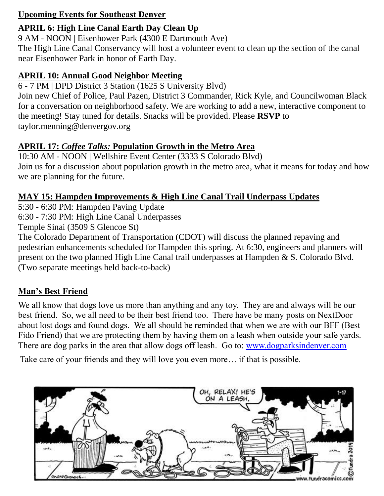#### **Upcoming Events for Southeast Denver**

#### **APRIL 6: High Line Canal Earth Day Clean Up**

9 AM - NOON | Eisenhower Park (4300 E Dartmouth Ave)

The High Line Canal Conservancy will host a volunteer event to clean up the section of the canal near Eisenhower Park in honor of Earth Day.

#### **APRIL 10: Annual Good Neighbor Meeting**

6 - 7 PM | DPD District 3 Station (1625 S University Blvd)

Join new Chief of Police, Paul Pazen, District 3 Commander, Rick Kyle, and Councilwoman Black for a conversation on neighborhood safety. We are working to add a new, interactive component to the meeting! Stay tuned for details. Snacks will be provided. Please **RSVP** to [taylor.menning@denvergov.org](mailto:taylor.menning@denvergov.org)

#### **APRIL 17:** *Coffee Talks:* **Population Growth in the Metro Area**

10:30 AM - NOON | Wellshire Event Center (3333 S Colorado Blvd) Join us for a discussion about population growth in the metro area, what it means for today and how we are planning for the future.

#### **MAY 15: Hampden Improvements & High Line Canal Trail Underpass Updates**

5:30 - 6:30 PM: Hampden Paving Update

6:30 - 7:30 PM: High Line Canal Underpasses

Temple Sinai (3509 S Glencoe St)

The Colorado Department of Transportation (CDOT) will discuss the planned repaving and pedestrian enhancements scheduled for Hampden this spring. At 6:30, engineers and planners will present on the two planned High Line Canal trail underpasses at Hampden & S. Colorado Blvd. (Two separate meetings held back-to-back)

#### **Man's Best Friend**

We all know that dogs love us more than anything and any toy. They are and always will be our best friend. So, we all need to be their best friend too. There have be many posts on NextDoor about lost dogs and found dogs. We all should be reminded that when we are with our BFF (Best Fido Friend) that we are protecting them by having them on a leash when outside your safe yards. There are dog parks in the area that allow dogs off leash. Go to: [www.dogparksindenver.com](http://www.dogparksindenver.com/)

Take care of your friends and they will love you even more… if that is possible.